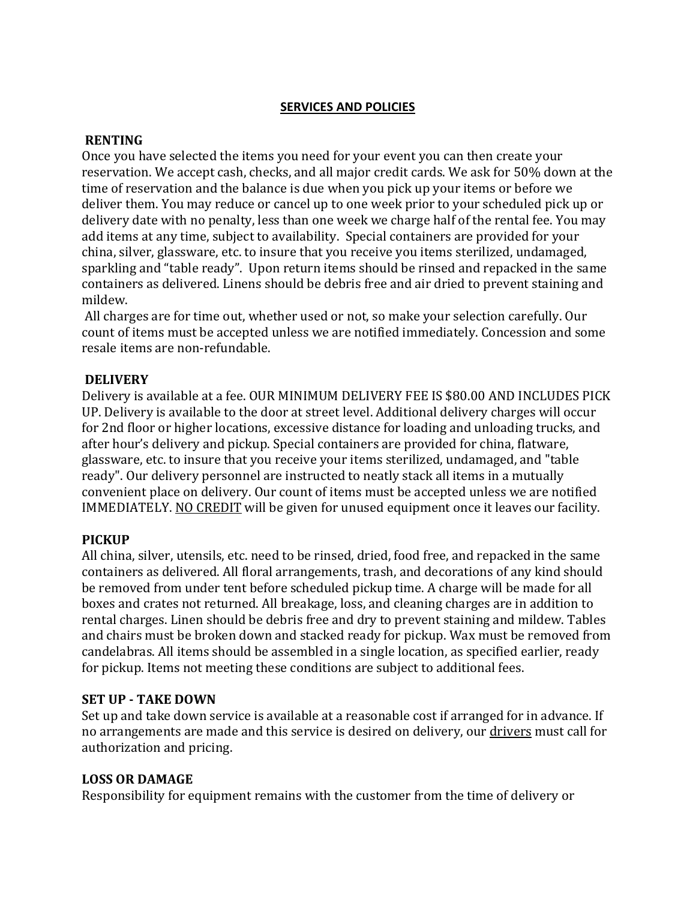## **SERVICES AND POLICIES**

### **RENTING**

Once you have selected the items you need for your event you can then create your reservation. We accept cash, checks, and all major credit cards. We ask for 50% down at the time of reservation and the balance is due when you pick up your items or before we deliver them. You may reduce or cancel up to one week prior to your scheduled pick up or delivery date with no penalty, less than one week we charge half of the rental fee. You may add items at any time, subject to availability. Special containers are provided for your china, silver, glassware, etc. to insure that you receive you items sterilized, undamaged, sparkling and "table ready". Upon return items should be rinsed and repacked in the same containers as delivered. Linens should be debris free and air dried to prevent staining and mildew.

All charges are for time out, whether used or not, so make your selection carefully. Our count of items must be accepted unless we are notified immediately. Concession and some resale items are non-refundable.

### **DELIVERY**

Delivery is available at a fee. OUR MINIMUM DELIVERY FEE IS \$80.00 AND INCLUDES PICK UP. Delivery is available to the door at street level. Additional delivery charges will occur for 2nd floor or higher locations, excessive distance for loading and unloading trucks, and after hour's delivery and pickup. Special containers are provided for china, flatware, glassware, etc. to insure that you receive your items sterilized, undamaged, and "table ready". Our delivery personnel are instructed to neatly stack all items in a mutually convenient place on delivery. Our count of items must be accepted unless we are notified IMMEDIATELY. [NO CREDIT](http://www.partytimeplus.com/renting/) will be given for unused equipment once it leaves our facility.

## **PICKUP**

All china, silver, utensils, etc. need to be rinsed, dried, food free, and repacked in the same containers as delivered. All floral arrangements, trash, and decorations of any kind should be removed from under tent before scheduled pickup time. A charge will be made for all boxes and crates not returned. All breakage, loss, and cleaning charges are in addition to rental charges. Linen should be debris free and dry to prevent staining and mildew. Tables and chairs must be broken down and stacked ready for pickup. Wax must be removed from candelabras. All items should be assembled in a single location, as specified earlier, ready for pickup. Items not meeting these conditions are subject to additional fees.

#### **SET UP - TAKE DOWN**

Set up and take down service is available at a reasonable cost if arranged for in advance. If no arrangements are made and this service is desired on delivery, our [drivers](http://www.partytimeplus.com/renting/) must call for authorization and pricing.

#### **LOSS OR DAMAGE**

Responsibility for equipment remains with the customer from the time of delivery or